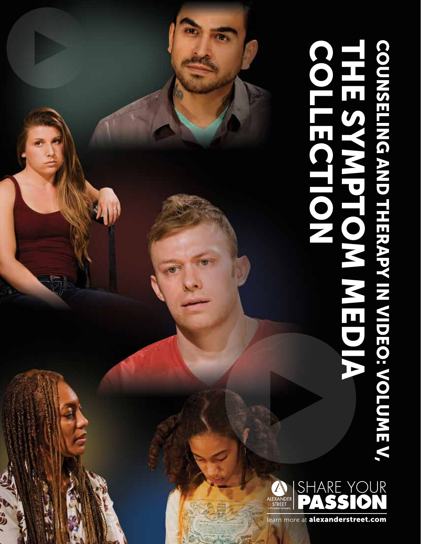# LEARN MORE AT ALEXANDERSTREET.COMNITOM COUNSELING AND THE SYMPTOM MEDIA COUNSELING AND THE SAMPLE COUNSELING AN<br>THE SYMPTOM MEDIA (SAMPLE COUNTS)



 $\frac{1}{2}$